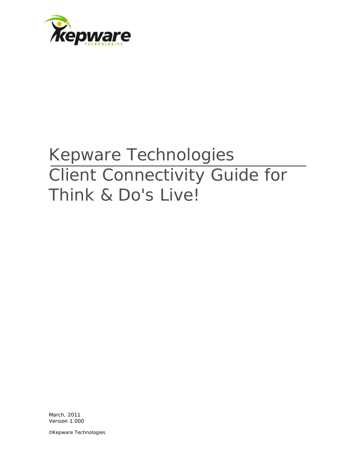

# Kepware Technologies Client Connectivity Guide for Think & Do's Live!

March, 2011 Version 1.000

©Kepware Technologies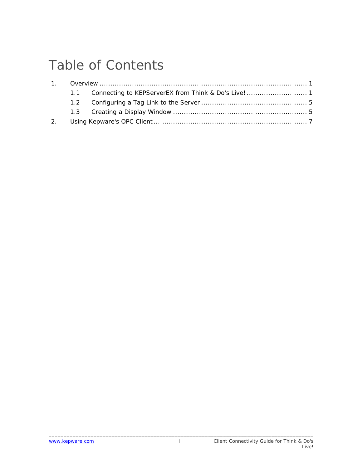## Table of Contents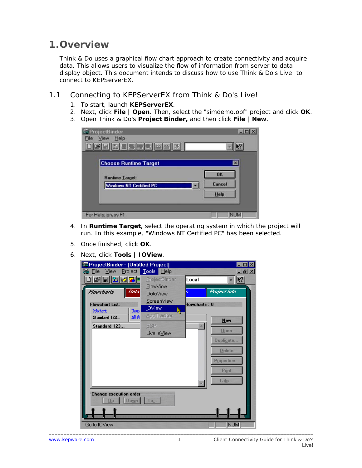### <span id="page-2-0"></span>**1.Overview**

Think & Do uses a graphical flow chart approach to create connectivity and acquire data. This allows users to visualize the flow of information from server to data display object. This document intends to discuss how to use Think & Do's Live! to connect to KEPServerEX.

#### 1.1 Connecting to KEPServerEX from Think & Do's Live!

- 1. To start, launch **KEPServerEX**.
- 2. Next, click **File** | **Open**. Then, select the "simdemo.opf" project and click **OK**.
- 3. Open Think & Do's **Project Binder,** and then click **File** | **New**.

| ProjectBinder<br>View Help<br>File | e la           |
|------------------------------------|----------------|
| <b>DBERLIJJA ESK</b>               |                |
| <b>Choose Runtime Target</b>       | ⊠              |
| <b>Runtime Target:</b>             | OK             |
| <b>Windows NT Certified PC</b>     | Cancel<br>Help |
|                                    |                |
| For Help, press F1                 | <b>NUM</b>     |

- 4. In **Runtime Target**, select the operating system in which the project will run. In this example, "Windows NT Certified PC" has been selected.
- 5. Once finished, click **OK**.
- 6. Next, click **Tools** | **IOView**.

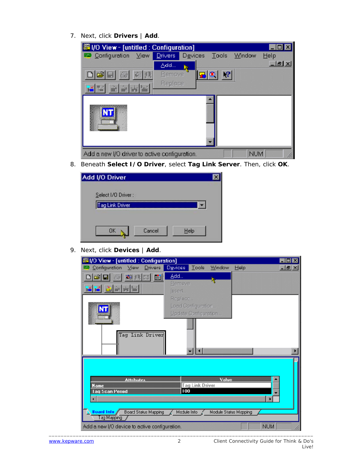7. Next, click **Drivers** | **Add**.

| ※ I/O View - [untitled : Configuration]                            |                    |                 |                              |
|--------------------------------------------------------------------|--------------------|-----------------|------------------------------|
| <b>ED</b> Configuration View                                       | Drivers<br>Devices | Window<br>Tools | Help                         |
|                                                                    | Add…               |                 | $   \mathbb{R}$ $\mathbb{X}$ |
| $\Box \trianglerighteq \blacksquare \blacksquare \triangleq$<br>如果 | Remove.<br>国       | $\mathbf{P}$    |                              |
|                                                                    | Replace            |                 |                              |
|                                                                    |                    |                 |                              |
| Add a new I/O driver to active configuration.                      |                    | <b>NUM</b>      |                              |

8. Beneath **Select I/O Driver**, select **Tag Link Server**. Then, click **OK**.

| Add I/O Driver     |        |      |  |
|--------------------|--------|------|--|
| Select I/O Driver: |        |      |  |
| Tag Link Driver    |        |      |  |
| nĸ                 | Cancel | Help |  |

9. Next, click **Devices** | **Add**.

| Add<br>如<br>圖<br>且<br>h,<br>Remove<br>ШI<br>Insert<br>Replace<br>Load Configuration<br>Update Configuration<br>Tag Link Driver | Value<br><b>Attributes</b><br><b>Tag Link Driver</b><br><b>Name</b><br>100<br><b>Lag Scan Period</b> | Configuration<br>四 | #1/0 View - [untitled : Configuration]<br>$D$ rivers<br>View | <b>Devices</b><br>Tools | Window<br>Help | $\blacksquare$ $\blacksquare$<br>$-10 \times$ |
|--------------------------------------------------------------------------------------------------------------------------------|------------------------------------------------------------------------------------------------------|--------------------|--------------------------------------------------------------|-------------------------|----------------|-----------------------------------------------|
|                                                                                                                                |                                                                                                      |                    |                                                              |                         |                |                                               |
|                                                                                                                                |                                                                                                      |                    |                                                              |                         |                |                                               |
|                                                                                                                                |                                                                                                      |                    |                                                              |                         |                |                                               |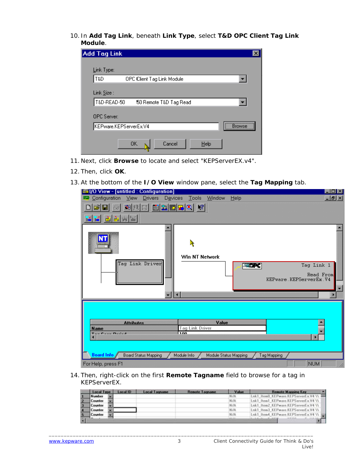10. In **Add Tag Link**, beneath **Link Type**, select **T&D OPC Client Tag Link Module**.

| <b>Add Tag Link</b>                         | × |
|---------------------------------------------|---|
|                                             |   |
| Link Type:                                  |   |
| T&D<br>OPC Client Tag Link Module           |   |
|                                             |   |
| Link Size :                                 |   |
| T&D-READ-50<br>50 Remote T&D Tag Read       |   |
|                                             |   |
| <b>OPC</b> Server:                          |   |
| <br><b>Rrowse</b><br>KEPware.KEPServerEx.V4 |   |
|                                             |   |
| <b>OK</b><br>Cancel<br>Help                 |   |
|                                             |   |

- 11. Next, click **Browse** to locate and select "KEPServerEX.v4".
- 12. Then, click **OK**.
- 13.At the bottom of the **I/O View** window pane, select the **Tag Mapping** tab.

| <b>Wille</b> View - [untitled : Configuration]                                       | $ \Box$ $\times$                                  |
|--------------------------------------------------------------------------------------|---------------------------------------------------|
| Configuration<br>Devices<br><b>Tools</b><br>Window<br>View<br><b>Drivers</b><br>Help | $-10 \times$                                      |
| 圖2國모이 2<br>GB<br>刺<br>R<br>Win NT Network<br>Tag Link Driver<br><b>ASSET</b>         | Tag Link 1<br>Read From<br>KEPware.KEPServerEx.V4 |
|                                                                                      |                                                   |
|                                                                                      |                                                   |
| Value<br><b>Attributes</b><br><b>Tag Link Driver</b>                                 |                                                   |
| <b>Name</b><br>ممدا<br>$T = -C - C - D - C - A$                                      |                                                   |
| Board Info<br>Board Status Mapping<br>Module Info /<br>Module Status Mapping         | Tag Mapping                                       |
| For Help, press F1                                                                   | <b>NUM</b>                                        |

14. Then, right-click on the first **Remote Tagname** field to browse for a tag in KEPServerEX.

|    | Local Type     | Local ID | <b>Local Tagname</b> | <b>Remote Tagname</b> | Value  | <b>Remote Mapping Key</b>                        |  |
|----|----------------|----------|----------------------|-----------------------|--------|--------------------------------------------------|--|
|    | <b>Number</b>  |          |                      |                       | N/A    | Lnk1_ItemD_KEPware.KEPServerEx.V4 \\             |  |
|    | Counter        |          |                      |                       | N/A    | Lnk1_Item1_KEPware.KEPServerEx.V4 \\             |  |
|    | Counter        |          |                      |                       | N/A    | Lnk1 Item2 KEPware.KEPServerEx.V4 \\             |  |
| и  | <b>Counter</b> |          |                      |                       | N/A    | Lnk1 Item3 KEPware.KEPServerEx.V4 \\             |  |
| 15 | Counter        |          |                      |                       | N/A    | Lnk1 Item4 KEPware.KEPServerEx.V4 \\ IIII        |  |
|    |                |          |                      |                       | 44.44. | And the state of the control of the state of the |  |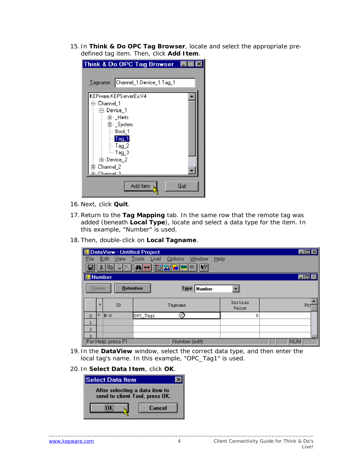15. In **Think & Do OPC Tag Browser**, locate and select the appropriate predefined tag item. Then, click **Add Item**.

| hink & Do OPC Tag Browser ■■                                                                                                                                                                                           |      |
|------------------------------------------------------------------------------------------------------------------------------------------------------------------------------------------------------------------------|------|
| Channel_1.Device_1.Tag_1<br>$\mathbf{\underline{I}}$ agname: $\blacksquare$                                                                                                                                            |      |
| KEPware.KEPS erverEx.V4<br>⊟- Channel_1<br>⊟ Device_1<br>由 <sub>"</sub> _Hints<br>亩⊢_System<br>⊱- Bool_1<br>$\frac{1}{2}$ ag $\frac{1}{2}$<br>$\sim$ Tag $\,2$<br>≒∽Taq 3<br>由 Device_2<br>国 Channel 2<br>? Lannel a ت |      |
| Add Item                                                                                                                                                                                                               | Quit |

- 16. Next, click **Quit**.
- 17.Return to the **Tag Mapping** tab. In the same row that the remote tag was added (beneath **Local Type**), locate and select a data type for the item. In this example, "Number" is used.
- 18. Then, double-click on **Local Tagname**.

|                |                                                                           | DataView - Untitled Project |               |                  | $\blacksquare$ $\blacksquare$ $\times$ |  |  |  |  |  |
|----------------|---------------------------------------------------------------------------|-----------------------------|---------------|------------------|----------------------------------------|--|--|--|--|--|
| File           | Window<br>Help<br>Edit View Tools Live! Options                           |                             |               |                  |                                        |  |  |  |  |  |
| n              | e 14 p<br>阄<br>两日<br>$\frac{8}{100}$                                      |                             |               |                  |                                        |  |  |  |  |  |
| Number         |                                                                           |                             |               |                  | $\blacksquare$ $\blacksquare$ $\times$ |  |  |  |  |  |
|                | <b>Retentive</b><br>Create<br>Type: Number<br>$\mathcal{L}_{\mathcal{L}}$ |                             |               |                  |                                        |  |  |  |  |  |
|                | $\star$                                                                   | ID                          | Tagname       | Initial<br>Value | Phy                                    |  |  |  |  |  |
| $\theta$       | $\star$                                                                   | $N-0$                       | ∞<br>OPC Tagl | 0                |                                        |  |  |  |  |  |
|                |                                                                           |                             |               |                  |                                        |  |  |  |  |  |
| $\overline{2}$ |                                                                           |                             |               |                  |                                        |  |  |  |  |  |
| 3              |                                                                           |                             |               |                  |                                        |  |  |  |  |  |
|                |                                                                           | For Help, press F1          | Number (edit) |                  | <b>NUM</b>                             |  |  |  |  |  |

- 19. In the **DataView** window, select the correct data type, and then enter the local tag's name. In this example, "OPC\_Tag1" is used.
- 20. In **Select Data Item**, click **OK**.

| Select Data Item                                                 |        |  |  |  |  |  |  |  |  |
|------------------------------------------------------------------|--------|--|--|--|--|--|--|--|--|
| After selecting a data item to<br>send to client Tool, press OK. |        |  |  |  |  |  |  |  |  |
|                                                                  | Cancel |  |  |  |  |  |  |  |  |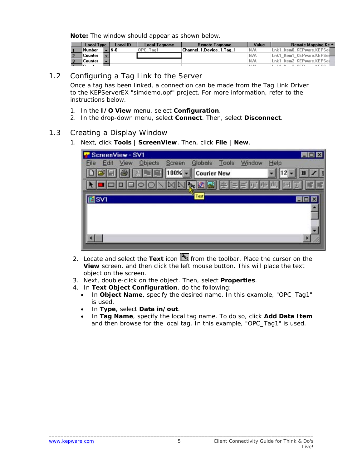<span id="page-6-0"></span>**Note:** The window should appear as shown below.

| Local Type    | Local ID | Local Tagname | Remote Tagname           | Value          | Remote Mapping Ke ▲           |
|---------------|----------|---------------|--------------------------|----------------|-------------------------------|
| <b>Number</b> | 1 N - O  | JPC<br>Tag1   | Channel 1.Device 1.Tag 1 | N/A            | Lnk1 Item0 KEPware.KEPSeil    |
| Counter       |          |               |                          | N/A            | Lnk1 Item1 KEPware.KEPSel     |
| Counter       |          |               |                          | N/A            | Lnk1 Item2 KEPware.KEPSer     |
|               |          |               |                          | <b>ALL 1-A</b> | <b>KEDC</b><br>$P_{\rm{eff}}$ |

#### 1.2 Configuring a Tag Link to the Server

Once a tag has been linked, a connection can be made from the Tag Link Driver to the KEPServerEX "simdemo.opf" project. For more information, refer to the instructions below.

- 1. In the **I/O View** menu, select **Configuration**.
- 2. In the drop-down menu, select **Connect**. Then, select **Disconnect**.

#### 1.3 Creating a Display Window

1. Next, click **Tools** | **ScreenView**. Then, click **File** | **New**.

| ScreenView - SV1                       |                                |                |
|----------------------------------------|--------------------------------|----------------|
| <b>Objects</b><br>Edit<br>View<br>File | Globals<br>Tools<br>Screen     | Window<br>Help |
|                                        | $100% -$<br><b>Courier New</b> |                |
|                                        | 'E.                            |                |
| <b>IE</b> SVI                          | Test                           |                |
|                                        |                                |                |
|                                        |                                |                |
|                                        |                                |                |
|                                        |                                |                |

- 2. Locate and select the **Text** icon **<sup>3</sup>**<sup>6</sup> from the toolbar. Place the cursor on the **View** screen, and then click the left mouse button. This will place the text object on the screen.
- 3. Next, double-click on the object. Then, select **Properties**.
- 4. In **Text Object Configuration**, do the following:
	- In **Object Name**, specify the desired name. In this example, "OPC\_Tag1" is used.
	- In **Type**, select **Data in/out**.
	- In **Tag Name**, specify the local tag name. To do so, click **Add Data Item** and then browse for the local tag. In this example, "OPC\_Tag1" is used.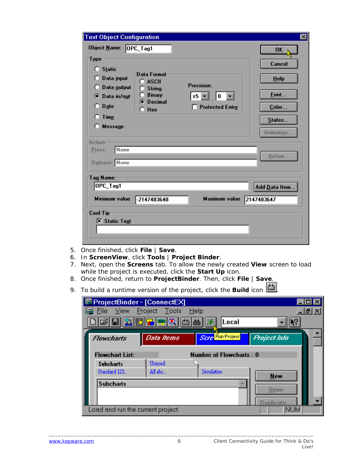| <b>Text Object Configuration</b>                                                                                                                                               |                                                                                                         |                                                              | ⊠                                                               |
|--------------------------------------------------------------------------------------------------------------------------------------------------------------------------------|---------------------------------------------------------------------------------------------------------|--------------------------------------------------------------|-----------------------------------------------------------------|
| Object <u>N</u> ame: OPC_Tag1<br>⊤ype∙<br>$\bigcirc$ Static<br>Data input<br>$\bigcirc$ Data output<br><b>O</b> Data in/out<br>$\bigcirc$ Date<br>$\bigcirc$ Time<br>C Message | Data Format <sup>.</sup><br>O ASCII<br><b>String</b><br><b>Binary</b><br><b>O</b> Decimal<br>$\cap$ Hex | <b>Precision:</b><br>±5 ⊡   0 <u> ▼</u><br>□ Protected Entry | 0K<br>Cancel<br>$He$ lp<br>Font<br>Color<br>States<br>Animation |
| <b>Action</b><br>None<br>Press:<br>Release: None                                                                                                                               |                                                                                                         |                                                              | Action                                                          |
| Tag Name:                                                                                                                                                                      |                                                                                                         |                                                              |                                                                 |
| OPC_Tag1                                                                                                                                                                       |                                                                                                         |                                                              | Add Data Item                                                   |
| Minimum value                                                                                                                                                                  | $-2147483648$                                                                                           | Maximum value 2147483647                                     |                                                                 |
| ⊤Cool Tip<br><b>X</b> Static Text                                                                                                                                              |                                                                                                         |                                                              |                                                                 |

- 5. Once finished, click **File** | **Save**.
- 6. In **ScreenView**, click **Tools** | **Project Binder**.
- 7. Next, open the **Screens** tab. To allow the newly created **View** screen to load while the project is executed, click the **Start Up** icon.
- 8. Once finished, return to **ProjectBinder**. Then, click **File** | **Save**.
- 9. To build a runtime version of the project, click the **Build** icon  $\boxed{\frac{d\mathbf{x}}{d\mathbf{x}}$ .

| <b>ProjectBinder - [ConnectEX]</b><br><b>Eile</b><br>View | Project Tools | Help                           | $  \mathbb{F}$ $\times$ |
|-----------------------------------------------------------|---------------|--------------------------------|-------------------------|
|                                                           | GBB250000     | Local<br>B.                    |                         |
| Flowcharts                                                | Data Items    | Scre Run Project               | Project Info            |
| <b>Flowchart List:</b>                                    | <b>Unused</b> | <b>Number of Flowcharts: 0</b> |                         |
| <b>Subcharts</b><br>Standard 123                          | All abc       | Simulation                     | <b>New</b>              |
| <b>Subcharts</b>                                          |               |                                | <b>Open</b>             |
| Load and run the current project.                         |               |                                | inlicate<br><b>NUM</b>  |